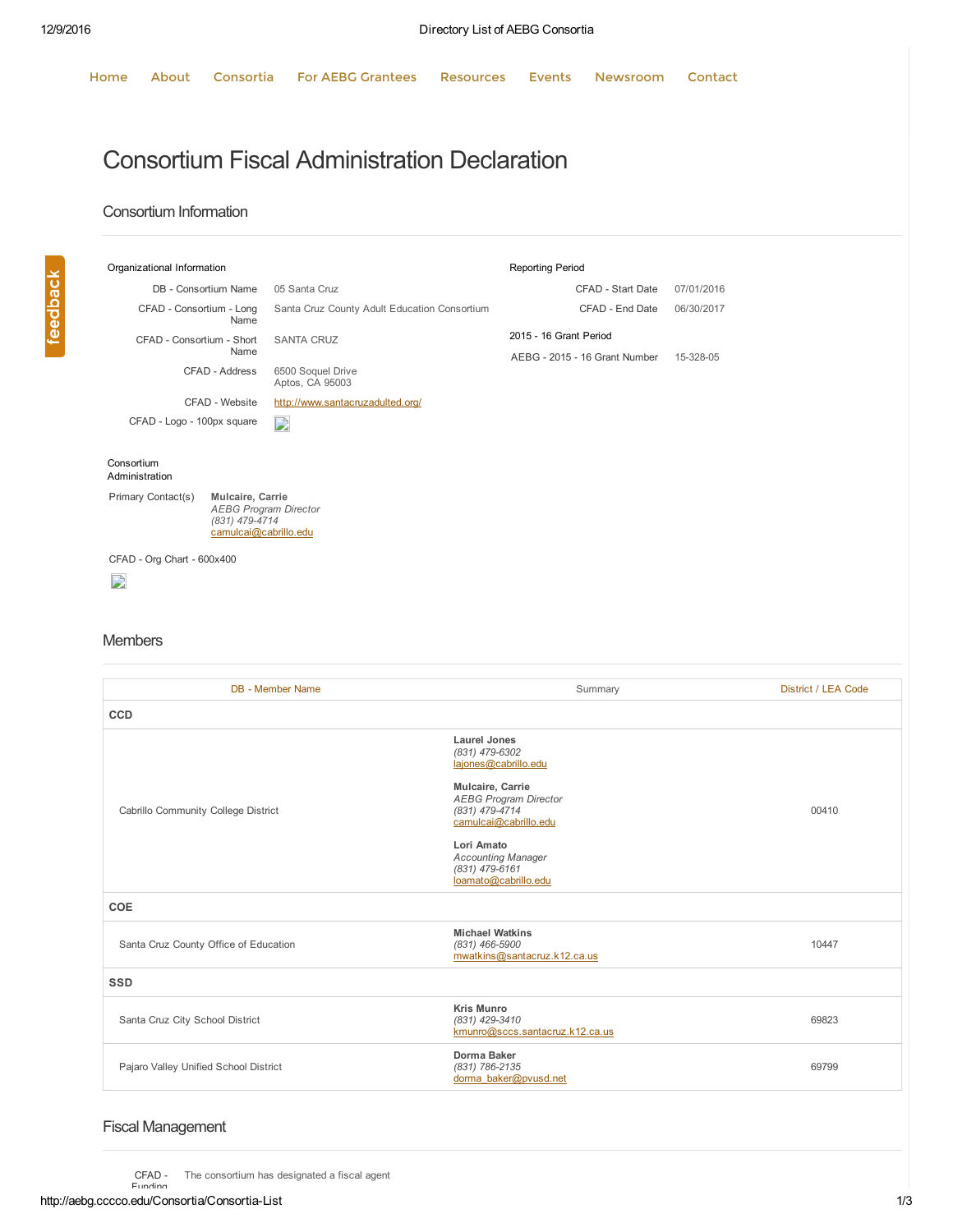feedback

# Consortium Fiscal Administration Declaration

## Consortium Information

| Organizational Information                                                                                        |  |                                              | <b>Reporting Period</b>       |            |
|-------------------------------------------------------------------------------------------------------------------|--|----------------------------------------------|-------------------------------|------------|
| DB - Consortium Name                                                                                              |  | 05 Santa Cruz                                | CFAD - Start Date             | 07/01/2016 |
| CFAD - Consortium - Long<br>Name                                                                                  |  | Santa Cruz County Adult Education Consortium | CFAD - End Date               | 06/30/2017 |
| CFAD - Consortium - Short                                                                                         |  | <b>SANTA CRUZ</b>                            | 2015 - 16 Grant Period        |            |
| Name                                                                                                              |  |                                              | AEBG - 2015 - 16 Grant Number | 15-328-05  |
| CFAD - Address                                                                                                    |  | 6500 Soquel Drive<br>Aptos, CA 95003         |                               |            |
| CFAD - Website                                                                                                    |  | http://www.santacruzadulted.org/             |                               |            |
| CFAD - Logo - 100px square                                                                                        |  | D                                            |                               |            |
| Consortium<br>Administration                                                                                      |  |                                              |                               |            |
| Primary Contact(s)<br>Mulcaire, Carrie<br><b>AEBG Program Director</b><br>(831) 479-4714<br>camulcai@cabrillo.edu |  |                                              |                               |            |
| CFAD - Org Chart - 600x400                                                                                        |  |                                              |                               |            |
|                                                                                                                   |  |                                              |                               |            |

# Members

| <b>DB</b> - Member Name               | Summary                                                                                     | District / LEA Code |
|---------------------------------------|---------------------------------------------------------------------------------------------|---------------------|
| CCD                                   |                                                                                             |                     |
|                                       | Laurel Jones<br>(831) 479-6302<br>lajones@cabrillo.edu                                      |                     |
| Cabrillo Community College District   | Mulcaire, Carrie<br><b>AEBG Program Director</b><br>(831) 479-4714<br>camulcai@cabrillo.edu | 00410               |
|                                       | Lori Amato<br><b>Accounting Manager</b><br>(831) 479-6161<br>loamato@cabrillo.edu           |                     |
| COE                                   |                                                                                             |                     |
| Santa Cruz County Office of Education | <b>Michael Watkins</b><br>(831) 466-5900<br>mwatkins@santacruz.k12.ca.us                    | 10447               |
| <b>SSD</b>                            |                                                                                             |                     |
| Santa Cruz City School District       | <b>Kris Munro</b><br>(831) 429-3410<br>kmunro@sccs.santacruz.k12.ca.us                      | 69823               |
| Pajaro Valley Unified School District | Dorma Baker<br>(831) 786-2135<br>dorma_baker@pvusd.net                                      | 69799               |

# Fiscal Management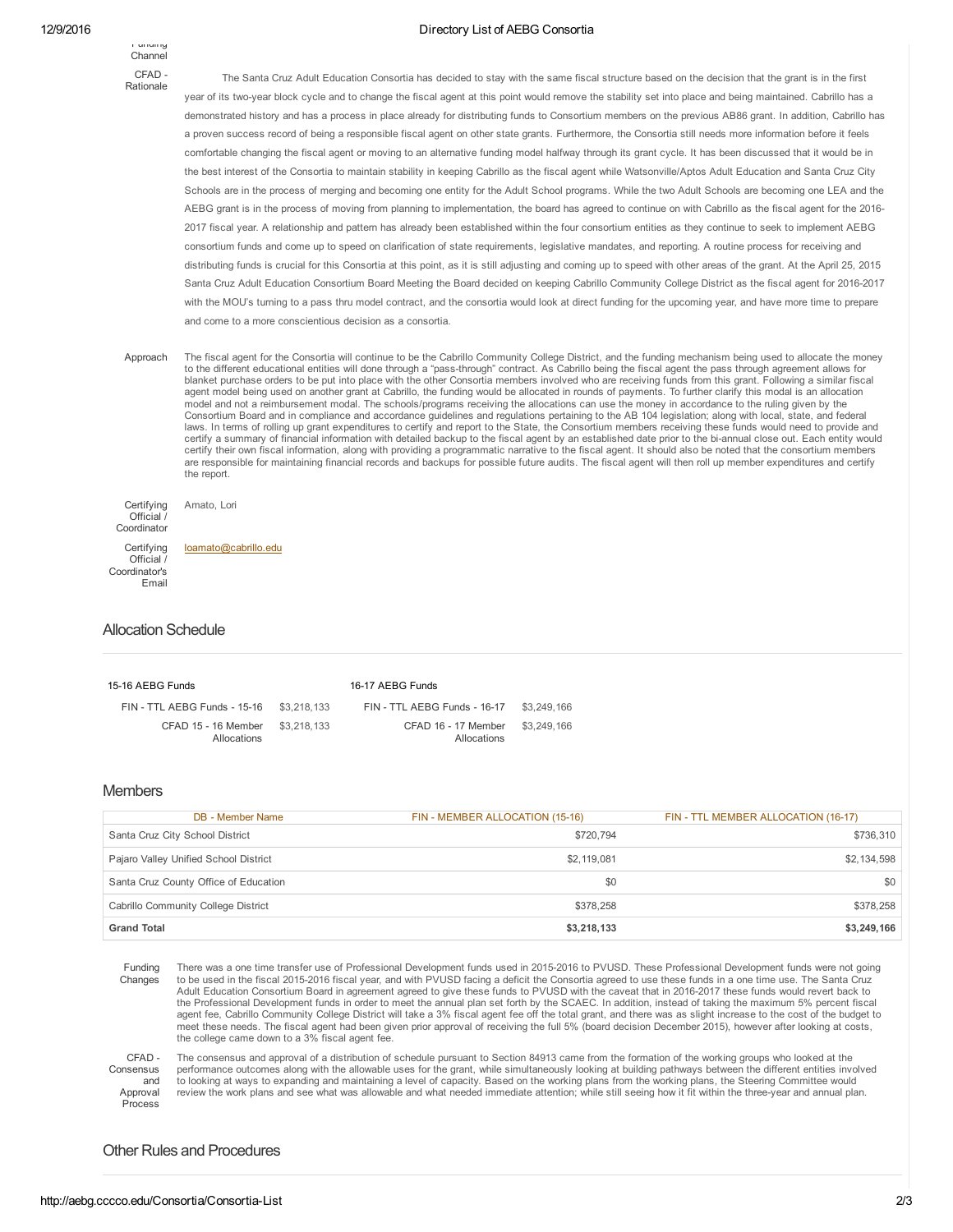#### Funding Channel  $CFAD$ .

Rationale

#### 12/9/2016 Directory List of AEBG Consortia

The Santa Cruz Adult Education Consortia has decided to stay with the same fiscal structure based on the decision that the grant is in the first year of its two-year block cycle and to change the fiscal agent at this point would remove the stability set into place and being maintained. Cabrillo has a demonstrated history and has a process in place already for distributing funds to Consortium members on the previous AB86 grant. In addition, Cabrillo has a proven success record of being a responsible fiscal agent on other state grants. Furthermore, the Consortia still needs more information before it feels comfortable changing the fiscal agent or moving to an alternative funding model halfway through its grant cycle. It has been discussed that it would be in the best interest of the Consortia to maintain stability in keeping Cabrillo as the fiscal agent while Watsonville/Aptos Adult Education and Santa Cruz City Schools are in the process of merging and becoming one entity for the Adult School programs. While the two Adult Schools are becoming one LEA and the AEBG grant is in the process of moving from planning to implementation, the board has agreed to continue on with Cabrillo as the fiscal agent for the 2016 2017 fiscal year. A relationship and pattern has already been established within the four consortium entities as they continue to seek to implement AEBG consortium funds and come up to speed on clarification of state requirements, legislative mandates, and reporting. A routine process for receiving and distributing funds is crucial for this Consortia at this point, as it is still adjusting and coming up to speed with other areas of the grant. At the April 25, 2015 Santa Cruz Adult Education Consortium Board Meeting the Board decided on keeping Cabrillo Community College District as the fiscal agent for 2016-2017 with the MOU's turning to a pass thru model contract, and the consortia would look at direct funding for the upcoming year, and have more time to prepare and come to a more conscientious decision as a consortia.

Approach The fiscal agent for the Consortia will continue to be the Cabrillo Community College District, and the funding mechanism being used to allocate the money to the different educational entities will done through a "pass-through" contract. As Cabrillo being the fiscal agent the pass through agreement allows for blanket purchase orders to be put into place with the other Consortia members involved who are receiving funds from this grant. Following a similar fiscal agent model being used on another grant at Cabrillo, the funding would be allocated in rounds of payments. To further clarify this modal is an allocation model and not a reimbursement modal. The schools/programs receiving the allocations can use the money in accordance to the ruling given by the Consortium Board and in compliance and accordance guidelines and regulations pertaining to the AB 104 legislation; along with local, state, and federal laws. In terms of rolling up grant expenditures to certify and report to the State, the Consortium members receiving these funds would need to provide and certify a summary of financial information with detailed backup to the fiscal agent by an established date prior to the bi-annual close out. Each entity would certify their own fiscal information, along with providing a programmatic narrative to the fiscal agent. It should also be noted that the consortium members are responsible for maintaining financial records and backups for possible future audits. The fiscal agent will then roll up member expenditures and certify the report.

| Certifying  | Amato. |
|-------------|--------|
| Official /  |        |
| Coordinator |        |

**Certifying** Official / Coordinator's [loamato@cabrillo.edu](mailto:loamato@cabrillo.edu)

Lori

Email

## Allocation Schedule

| 15-16 AEBG Funds                   | 16-17 AEBG Funds |                                    |             |
|------------------------------------|------------------|------------------------------------|-------------|
| FIN - TTL AEBG Funds - 15-16       | \$3.218.133      | FIN - TTL AEBG Funds - 16-17       | \$3.249.166 |
| CFAD 15 - 16 Member<br>Allocations | \$3,218,133      | CFAD 16 - 17 Member<br>Allocations | \$3,249,166 |

### **Members**

| <b>DB</b> - Member Name               | FIN - MEMBER ALLOCATION (15-16) | FIN - TTL MEMBER ALLOCATION (16-17) |
|---------------------------------------|---------------------------------|-------------------------------------|
| Santa Cruz City School District       | \$720.794                       | \$736,310                           |
| Pajaro Valley Unified School District | \$2,119,081                     | \$2,134,598                         |
| Santa Cruz County Office of Education | \$0                             | \$0                                 |
| Cabrillo Community College District   | \$378.258                       | \$378,258                           |
| <b>Grand Total</b>                    | \$3,218,133                     | \$3,249,166                         |

CFAD

Funding **Changes** There was a one time transfer use of Professional Development funds used in 2015-2016 to PVUSD. These Professional Development funds were not going to be used in the fiscal 2015-2016 fiscal year, and with PVUSD facing a deficit the Consortia agreed to use these funds in a one time use. The Santa Cruz<br>Adult Education Consortium Board in agreement agreed to give these f the Professional Development funds in order to meet the annual plan set forth by the SCAEC. In addition, instead of taking the maximum 5% percent fiscal agent fee, Cabrillo Community College District will take a 3% fiscal agent fee off the total grant, and there was as slight increase to the cost of the budget to meet these needs. The fiscal agent had been given prior approval of receiving the full 5% (board decision December 2015), however after looking at costs, the college came down to a 3% fiscal agent fee.

Consensus and Approval Process

The consensus and approval of a distribution of schedule pursuant to Section 84913 came from the formation of the working groups who looked at the performance outcomes along with the allowable uses for the grant, while simultaneously looking at building pathways between the different entities involved<br>to looking at ways to expanding and maintaining a level of capacit review the work plans and see what was allowable and what needed immediate attention; while still seeing how it fit within the threeyear and annual plan.

#### Other Rules and Procedures